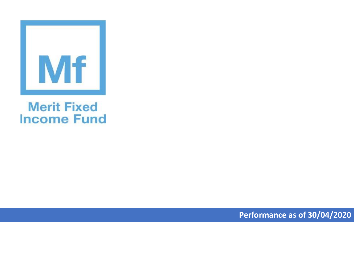

## **Merit Fixed Income Fund**

**Performance as of 30/04/2020**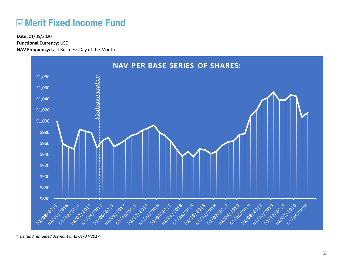## **ME Merit Fixed Income Fund**

**Functional Currency:** USD

**NAV Frequency:** Last Business Day of the Month